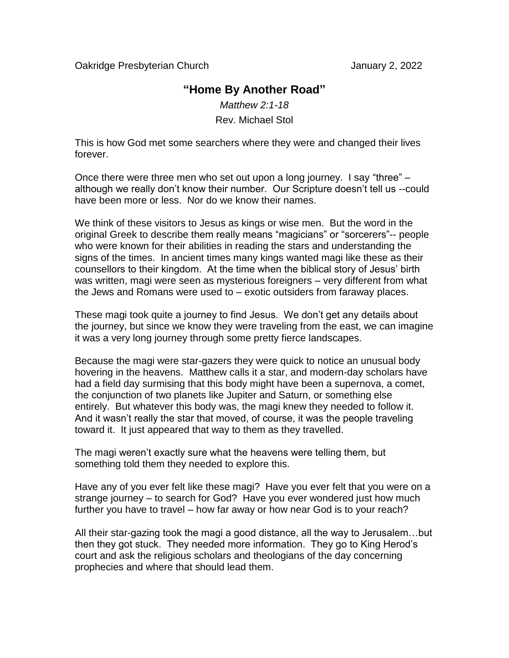Oakridge Presbyterian Church January 2, 2022

## **"Home By Another Road"**

*Matthew 2:1-18* Rev. Michael Stol

This is how God met some searchers where they were and changed their lives forever.

Once there were three men who set out upon a long journey. I say "three" – although we really don't know their number. Our Scripture doesn't tell us --could have been more or less. Nor do we know their names.

We think of these visitors to Jesus as kings or wise men. But the word in the original Greek to describe them really means "magicians" or "sorcerers"-- people who were known for their abilities in reading the stars and understanding the signs of the times. In ancient times many kings wanted magi like these as their counsellors to their kingdom. At the time when the biblical story of Jesus' birth was written, magi were seen as mysterious foreigners – very different from what the Jews and Romans were used to – exotic outsiders from faraway places.

These magi took quite a journey to find Jesus. We don't get any details about the journey, but since we know they were traveling from the east, we can imagine it was a very long journey through some pretty fierce landscapes.

Because the magi were star-gazers they were quick to notice an unusual body hovering in the heavens. Matthew calls it a star, and modern-day scholars have had a field day surmising that this body might have been a supernova, a comet, the conjunction of two planets like Jupiter and Saturn, or something else entirely. But whatever this body was, the magi knew they needed to follow it. And it wasn't really the star that moved, of course, it was the people traveling toward it. It just appeared that way to them as they travelled.

The magi weren't exactly sure what the heavens were telling them, but something told them they needed to explore this.

Have any of you ever felt like these magi? Have you ever felt that you were on a strange journey – to search for God? Have you ever wondered just how much further you have to travel – how far away or how near God is to your reach?

All their star-gazing took the magi a good distance, all the way to Jerusalem…but then they got stuck. They needed more information. They go to King Herod's court and ask the religious scholars and theologians of the day concerning prophecies and where that should lead them.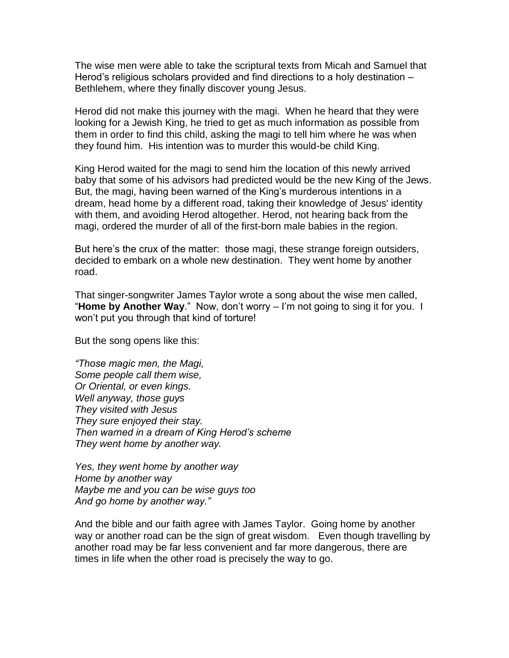The wise men were able to take the scriptural texts from Micah and Samuel that Herod's religious scholars provided and find directions to a holy destination – Bethlehem, where they finally discover young Jesus.

Herod did not make this journey with the magi. When he heard that they were looking for a Jewish King, he tried to get as much information as possible from them in order to find this child, asking the magi to tell him where he was when they found him. His intention was to murder this would-be child King.

King Herod waited for the magi to send him the location of this newly arrived baby that some of his advisors had predicted would be the new King of the Jews. But, the magi, having been warned of the King's murderous intentions in a dream, head home by a different road, taking their knowledge of Jesus' identity with them, and avoiding Herod altogether. Herod, not hearing back from the magi, ordered the murder of all of the first-born male babies in the region.

But here's the crux of the matter: those magi, these strange foreign outsiders, decided to embark on a whole new destination. They went home by another road.

That singer-songwriter James Taylor wrote a song about the wise men called, "**Home by Another Way**." Now, don't worry – I'm not going to sing it for you. I won't put you through that kind of torture!

But the song opens like this:

*"Those magic men, the Magi, Some people call them wise, Or Oriental, or even kings. Well anyway, those guys They visited with Jesus They sure enjoyed their stay. Then warned in a dream of King Herod's scheme They went home by another way.*

*Yes, they went home by another way Home by another way Maybe me and you can be wise guys too And go home by another way."*

And the bible and our faith agree with James Taylor. Going home by another way or another road can be the sign of great wisdom. Even though travelling by another road may be far less convenient and far more dangerous, there are times in life when the other road is precisely the way to go.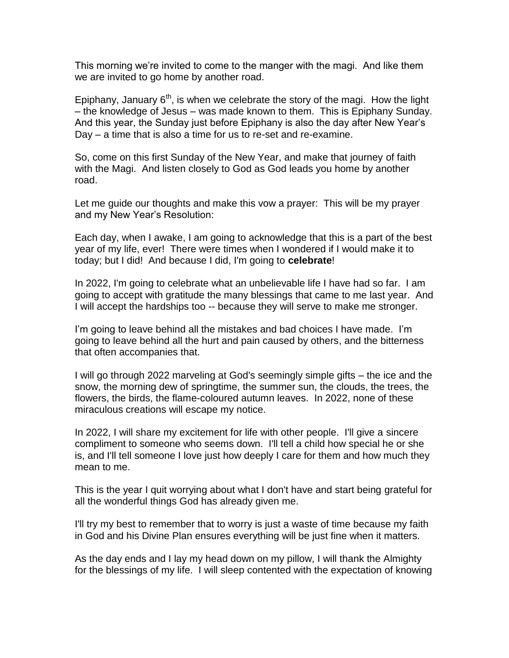This morning we're invited to come to the manger with the magi. And like them we are invited to go home by another road.

Epiphany, January  $6<sup>th</sup>$ , is when we celebrate the story of the magi. How the light – the knowledge of Jesus – was made known to them. This is Epiphany Sunday. And this year, the Sunday just before Epiphany is also the day after New Year's Day – a time that is also a time for us to re-set and re-examine.

So, come on this first Sunday of the New Year, and make that journey of faith with the Magi. And listen closely to God as God leads you home by another road.

Let me guide our thoughts and make this vow a prayer: This will be my prayer and my New Year's Resolution:

Each day, when I awake, I am going to acknowledge that this is a part of the best year of my life, ever! There were times when I wondered if I would make it to today; but I did! And because I did, I'm going to **celebrate**!

In 2022, I'm going to celebrate what an unbelievable life I have had so far. I am going to accept with gratitude the many blessings that came to me last year. And I will accept the hardships too -- because they will serve to make me stronger.

I'm going to leave behind all the mistakes and bad choices I have made. I'm going to leave behind all the hurt and pain caused by others, and the bitterness that often accompanies that.

I will go through 2022 marveling at God's seemingly simple gifts – the ice and the snow, the morning dew of springtime, the summer sun, the clouds, the trees, the flowers, the birds, the flame-coloured autumn leaves. In 2022, none of these miraculous creations will escape my notice.

In 2022, I will share my excitement for life with other people. I'll give a sincere compliment to someone who seems down. I'll tell a child how special he or she is, and I'll tell someone I love just how deeply I care for them and how much they mean to me.

This is the year I quit worrying about what I don't have and start being grateful for all the wonderful things God has already given me.

I'll try my best to remember that to worry is just a waste of time because my faith in God and his Divine Plan ensures everything will be just fine when it matters.

As the day ends and I lay my head down on my pillow, I will thank the Almighty for the blessings of my life. I will sleep contented with the expectation of knowing